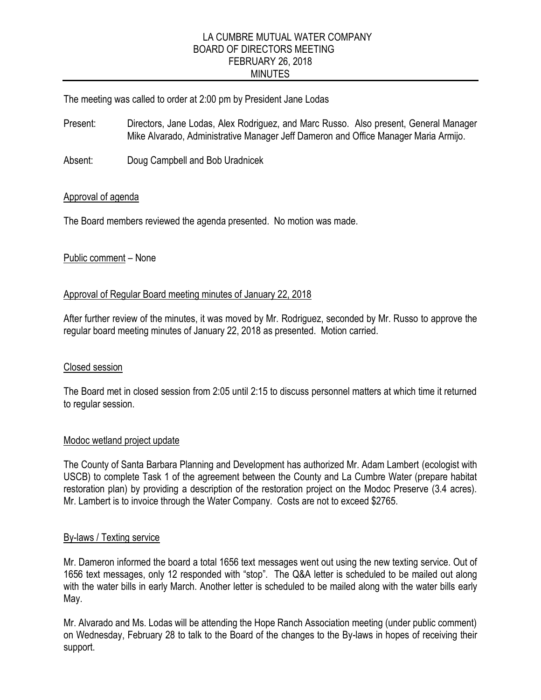# LA CUMBRE MUTUAL WATER COMPANY BOARD OF DIRECTORS MEETING FEBRUARY 26, 2018 MINUTES

The meeting was called to order at 2:00 pm by President Jane Lodas

Present: Directors, Jane Lodas, Alex Rodriguez, and Marc Russo. Also present, General Manager Mike Alvarado, Administrative Manager Jeff Dameron and Office Manager Maria Armijo.

Absent: Doug Campbell and Bob Uradnicek

# Approval of agenda

The Board members reviewed the agenda presented. No motion was made.

# Public comment – None

# Approval of Regular Board meeting minutes of January 22, 2018

After further review of the minutes, it was moved by Mr. Rodriguez, seconded by Mr. Russo to approve the regular board meeting minutes of January 22, 2018 as presented. Motion carried.

# Closed session

The Board met in closed session from 2:05 until 2:15 to discuss personnel matters at which time it returned to regular session.

# Modoc wetland project update

The County of Santa Barbara Planning and Development has authorized Mr. Adam Lambert (ecologist with USCB) to complete Task 1 of the agreement between the County and La Cumbre Water (prepare habitat restoration plan) by providing a description of the restoration project on the Modoc Preserve (3.4 acres). Mr. Lambert is to invoice through the Water Company. Costs are not to exceed \$2765.

# By-laws / Texting service

Mr. Dameron informed the board a total 1656 text messages went out using the new texting service. Out of 1656 text messages, only 12 responded with "stop". The Q&A letter is scheduled to be mailed out along with the water bills in early March. Another letter is scheduled to be mailed along with the water bills early May.

Mr. Alvarado and Ms. Lodas will be attending the Hope Ranch Association meeting (under public comment) on Wednesday, February 28 to talk to the Board of the changes to the By-laws in hopes of receiving their support.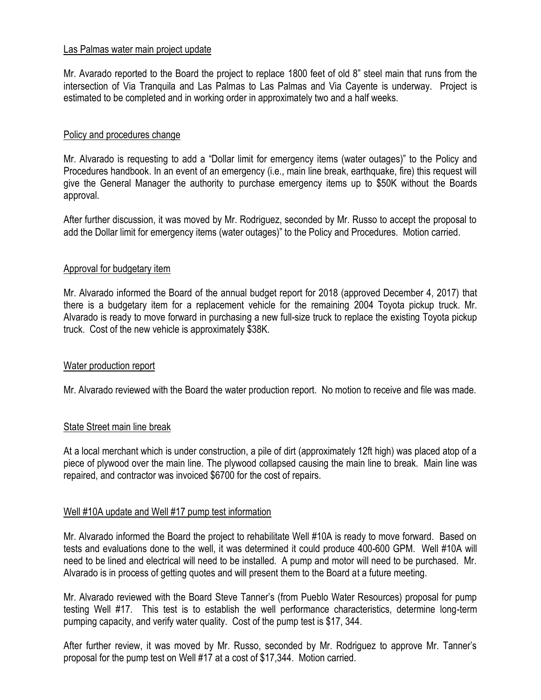## Las Palmas water main project update

Mr. Avarado reported to the Board the project to replace 1800 feet of old 8" steel main that runs from the intersection of Via Tranquila and Las Palmas to Las Palmas and Via Cayente is underway. Project is estimated to be completed and in working order in approximately two and a half weeks.

## Policy and procedures change

Mr. Alvarado is requesting to add a "Dollar limit for emergency items (water outages)" to the Policy and Procedures handbook. In an event of an emergency (i.e., main line break, earthquake, fire) this request will give the General Manager the authority to purchase emergency items up to \$50K without the Boards approval.

After further discussion, it was moved by Mr. Rodriguez, seconded by Mr. Russo to accept the proposal to add the Dollar limit for emergency items (water outages)" to the Policy and Procedures. Motion carried.

#### Approval for budgetary item

Mr. Alvarado informed the Board of the annual budget report for 2018 (approved December 4, 2017) that there is a budgetary item for a replacement vehicle for the remaining 2004 Toyota pickup truck. Mr. Alvarado is ready to move forward in purchasing a new full-size truck to replace the existing Toyota pickup truck. Cost of the new vehicle is approximately \$38K.

#### Water production report

Mr. Alvarado reviewed with the Board the water production report. No motion to receive and file was made.

# State Street main line break

At a local merchant which is under construction, a pile of dirt (approximately 12ft high) was placed atop of a piece of plywood over the main line. The plywood collapsed causing the main line to break. Main line was repaired, and contractor was invoiced \$6700 for the cost of repairs.

# Well #10A update and Well #17 pump test information

Mr. Alvarado informed the Board the project to rehabilitate Well #10A is ready to move forward. Based on tests and evaluations done to the well, it was determined it could produce 400-600 GPM. Well #10A will need to be lined and electrical will need to be installed. A pump and motor will need to be purchased. Mr. Alvarado is in process of getting quotes and will present them to the Board at a future meeting.

Mr. Alvarado reviewed with the Board Steve Tanner's (from Pueblo Water Resources) proposal for pump testing Well #17. This test is to establish the well performance characteristics, determine long-term pumping capacity, and verify water quality. Cost of the pump test is \$17, 344.

After further review, it was moved by Mr. Russo, seconded by Mr. Rodriguez to approve Mr. Tanner's proposal for the pump test on Well #17 at a cost of \$17,344. Motion carried.